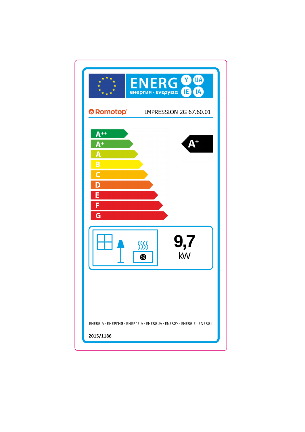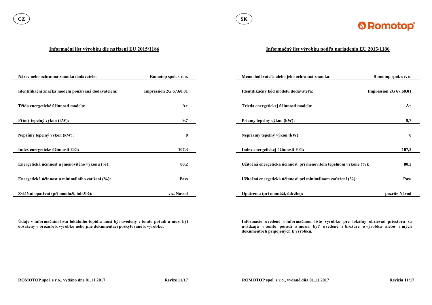

#### **Informační list výrobku dle nařízení EU 2015/1186**

**Údaje v informačním listu lokálního topidla musí být uvedeny v tomto pořadí a musí být obsaženy v brožuře k výrobku nebo jiné dokumentaci poskytované k výrobku.**

| Název nebo ochranná známka dodavatele:             | Romotop spol. s r. o.  | Meno dodávateľa alebo jeho ochranná známka:                      | Romotop spol. s r. o.         |
|----------------------------------------------------|------------------------|------------------------------------------------------------------|-------------------------------|
|                                                    |                        |                                                                  |                               |
| Identifikační značka modelu používaná dodavatelem: | Impression 2G 67.60.01 | Identifikačný kód modelu dodávateľa:                             | <b>Impression 2G 67.60.01</b> |
|                                                    |                        |                                                                  |                               |
| Třída energetické účinnosti modelu:                | $A+$                   | Trieda energetickej účinnosti modelu:                            | $A+$                          |
|                                                    |                        |                                                                  |                               |
| Přímý tepelný výkon (kW):                          | 9,7                    | Priamy tepelný výkon (kW):                                       | 9,7                           |
|                                                    |                        |                                                                  |                               |
| Nepřímý tepelný výkon (kW):                        | $\mathbf{0}$           | Nepriamy tepelný výkon (kW):                                     | $\mathbf{0}$                  |
|                                                    |                        |                                                                  |                               |
| Index energetické účinnosti EEI:                   | 107,3                  | Index energetickej účinnosti EEI:                                | 107,3                         |
|                                                    |                        |                                                                  |                               |
| Energetická účinnost u jmenovitého výkonu (%):     | 80,2                   | Užitočná energetická účinnosť pri menovitom tepelnom výkone (%): | 80,2                          |
|                                                    |                        |                                                                  |                               |
| Energetická účinnost u minimálního zatížení (%):   | Pass                   | Užitočná energetická účinnosť pri minimálnom zaťažení (%):       | <b>Pass</b>                   |
|                                                    |                        |                                                                  |                               |
| Zvláštní opatření (při montáži, údržbě):           | viz. Návod             | Opatrenia (pri montáži, údržbe):                                 | pozrite Návod                 |

## **Informačný list výrobku podľa nariadenia EU 2015/1186**

**Informácie uvedené v informačnom liste výrobku pre lokálny ohrievač priestoru sa uvádzajú v tomto poradí a musia byť uvedené v brožúre o výrobku alebo v iných dokumentoch pripojených k výrobku.**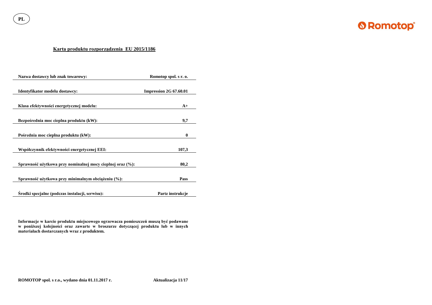**PL**



## **Karta produktu rozporządzenia EU 2015/1186**

| Nazwa dostawcy lub znak towarowy:                          | Romotop spol. s r. o.  |  |
|------------------------------------------------------------|------------------------|--|
| Identyfikator modelu dostawcy:                             | Impression 2G 67.60.01 |  |
| Klasa efektywności energetycznej modelu:                   | $A+$                   |  |
| Bezpośrednia moc cieplna produktu (kW):                    | 9,7                    |  |
| Pośrednia moc cieplna produktu (kW):                       | $\boldsymbol{0}$       |  |
| Współczynnik efektywności energetycznej EEI:               | 107,3                  |  |
| Sprawność użytkowa przy nominalnej mocy cieplnej oraz (%): | 80,2                   |  |
| Sprawność użytkowa przy minimalnym obciążeniu (%):         | <b>Pass</b>            |  |
| Srodki specjalne (podczas instalacji, serwisu):            | Partz instrukcje       |  |

**Informacje w karcie produktu miejscowego ogrzewacza pomieszczeń muszą być podawane w poniższej kolejności oraz zawarte w broszurze dotyczącej produktu lub w innych materiałach dostarczanych wraz z produktem.**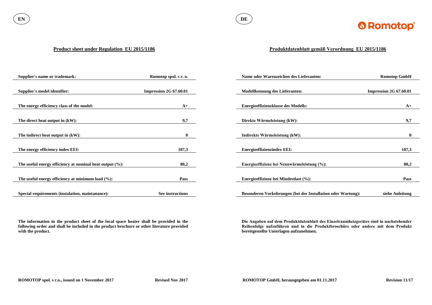

#### **Product sheet under Regulation EU 2015/1186**

**The information in the product sheet of the local space heater shall be provided in the following order and shall be included in the product brochure or other literature provided with the product.**

| <b>Supplier's name or trademark:</b>                        | Romotop spol. s r. o.  | Name oder Warenzeichen des Lieferanten:                      | <b>Romotop GmbH</b>    |
|-------------------------------------------------------------|------------------------|--------------------------------------------------------------|------------------------|
|                                                             |                        |                                                              |                        |
| Supplier's model identifier:                                | Impression 2G 67.60.01 | <b>Modellkennung des Lieferanten:</b>                        | Impression 2G 67.60.01 |
|                                                             |                        |                                                              |                        |
| The energy efficiency class of the model:                   | $A+$                   | <b>Energieeffizienzklasse des Modells:</b>                   | $A+$                   |
|                                                             |                        |                                                              |                        |
| The direct heat output in (kW):                             | 9,7                    | Direkte Wärmeleistung (kW):                                  | 9,7                    |
|                                                             |                        |                                                              |                        |
| The indirect heat output in $(kW)$ :                        | $\bf{0}$               | Indirekte Wärmeleistung (kW):                                | $\mathbf{0}$           |
|                                                             |                        |                                                              |                        |
| The energy efficiency index EEI:                            | 107,3                  | <b>Energieeffizienzindex EEI:</b>                            | 107,3                  |
|                                                             |                        |                                                              |                        |
| The useful energy efficiency at nominal heat output $(\%):$ | 80,2                   | Energieeffizienz bei Nennwärmeleistung (%):                  | 80,2                   |
|                                                             |                        |                                                              |                        |
| The useful energy efficiency at minimum load $(\%):$        | <b>Pass</b>            | Energieeffizienz bei Mindestlast (%):                        | <b>Pass</b>            |
|                                                             |                        |                                                              |                        |
| Special requirements (instalation, maintanance):            | See instructions       | Besonderen Vorkehrungen (bei der Installation oder Wartung): | siehe Anleitung        |

# **Produktdatenblatt gemäß Verordnung EU 2015/1186**

**Die Angaben auf dem Produktdatenblatt des Einzelraumheizgerätes sind in nachstehender Reihenfolge aufzuführen und in die Produktbroschüre oder andere mit dem Produkt bereitgestellte Unterlagen aufzunehmen.**